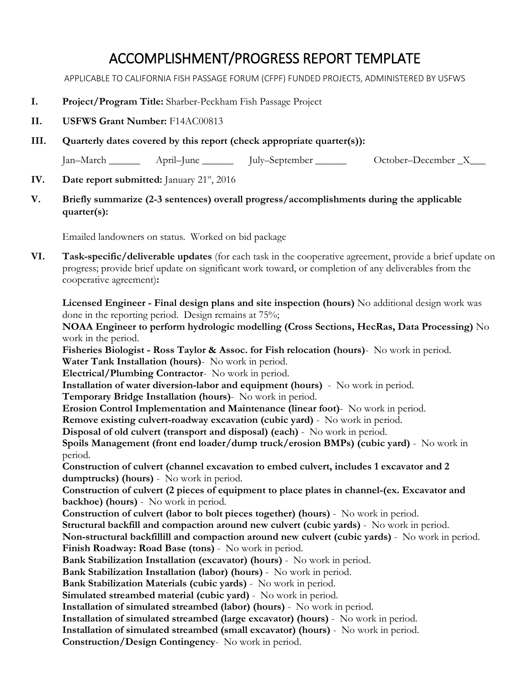## ACCOMPLISHMENT/PROGRESS REPORT TEMPLATE

APPLICABLE TO CALIFORNIA FISH PASSAGE FORUM (CFPF) FUNDED PROJECTS, ADMINISTERED BY USFWS

- **I. Project/Program Title:** Sharber-Peckham Fish Passage Project
- **II. USFWS Grant Number:** F14AC00813
- **III. Quarterly dates covered by this report (check appropriate quarter(s)):**

Jan–March \_\_\_\_\_\_ April–June \_\_\_\_\_\_ July–September \_\_\_\_\_\_ October–December \_X\_\_\_

- **IV.** Date report submitted: January 21<sup>st</sup>, 2016
- **V. Briefly summarize (2-3 sentences) overall progress/accomplishments during the applicable quarter(s):**

Emailed landowners on status. Worked on bid package

**VI. Task-specific/deliverable updates** (for each task in the cooperative agreement, provide a brief update on progress; provide brief update on significant work toward, or completion of any deliverables from the cooperative agreement)**:**

**Licensed Engineer - Final design plans and site inspection (hours)** No additional design work was done in the reporting period. Design remains at 75%;

**NOAA Engineer to perform hydrologic modelling (Cross Sections, HecRas, Data Processing)** No work in the period.

**Fisheries Biologist - Ross Taylor & Assoc. for Fish relocation (hours)**- No work in period.

**Water Tank Installation (hours)**- No work in period.

**Electrical/Plumbing Contractor**- No work in period.

**Installation of water diversion-labor and equipment (hours)** - No work in period.

**Temporary Bridge Installation (hours)**- No work in period.

**Erosion Control Implementation and Maintenance (linear foot)**- No work in period.

**Remove existing culvert-roadway excavation (cubic yard)** - No work in period.

**Disposal of old culvert (transport and disposal) (each)** - No work in period.

**Spoils Management (front end loader/dump truck/erosion BMPs) (cubic yard)** - No work in period.

**Construction of culvert (channel excavation to embed culvert, includes 1 excavator and 2 dumptrucks) (hours)** - No work in period.

**Construction of culvert (2 pieces of equipment to place plates in channel-(ex. Excavator and backhoe) (hours)** - No work in period.

**Construction of culvert (labor to bolt pieces together) (hours)** - No work in period.

**Structural backfill and compaction around new culvert (cubic yards)** - No work in period.

**Non-structural backfillill and compaction around new culvert (cubic yards)** - No work in period. **Finish Roadway: Road Base (tons)** - No work in period.

**Bank Stabilization Installation (excavator) (hours)** - No work in period.

**Bank Stabilization Installation (labor) (hours)** - No work in period.

**Bank Stabilization Materials (cubic yards)** - No work in period.

**Simulated streambed material (cubic yard)** - No work in period.

**Installation of simulated streambed (labor) (hours)** - No work in period.

**Installation of simulated streambed (large excavator) (hours)** - No work in period.

**Installation of simulated streambed (small excavator) (hours)** - No work in period.

**Construction/Design Contingency**- No work in period.